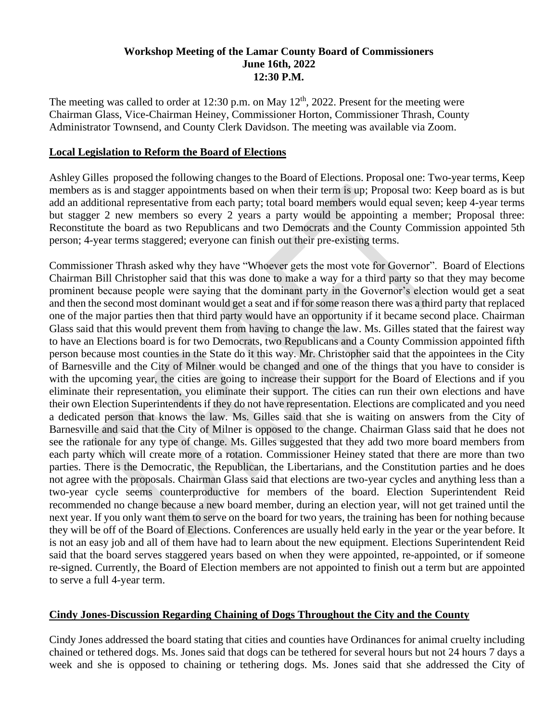### **Workshop Meeting of the Lamar County Board of Commissioners June 16th, 2022 12:30 P.M.**

The meeting was called to order at  $12:30$  p.m. on May  $12<sup>th</sup>$ , 2022. Present for the meeting were Chairman Glass, Vice-Chairman Heiney, Commissioner Horton, Commissioner Thrash, County Administrator Townsend, and County Clerk Davidson. The meeting was available via Zoom.

## **Local Legislation to Reform the Board of Elections**

Ashley Gilles proposed the following changes to the Board of Elections. Proposal one: Two-year terms, Keep members as is and stagger appointments based on when their term is up; Proposal two: Keep board as is but add an additional representative from each party; total board members would equal seven; keep 4-year terms but stagger 2 new members so every 2 years a party would be appointing a member; Proposal three: Reconstitute the board as two Republicans and two Democrats and the County Commission appointed 5th person; 4-year terms staggered; everyone can finish out their pre-existing terms.

Commissioner Thrash asked why they have "Whoever gets the most vote for Governor". Board of Elections Chairman Bill Christopher said that this was done to make a way for a third party so that they may become prominent because people were saying that the dominant party in the Governor's election would get a seat and then the second most dominant would get a seat and if for some reason there was a third party that replaced one of the major parties then that third party would have an opportunity if it became second place. Chairman Glass said that this would prevent them from having to change the law. Ms. Gilles stated that the fairest way to have an Elections board is for two Democrats, two Republicans and a County Commission appointed fifth person because most counties in the State do it this way. Mr. Christopher said that the appointees in the City of Barnesville and the City of Milner would be changed and one of the things that you have to consider is with the upcoming year, the cities are going to increase their support for the Board of Elections and if you eliminate their representation, you eliminate their support. The cities can run their own elections and have their own Election Superintendents if they do not have representation. Elections are complicated and you need a dedicated person that knows the law. Ms. Gilles said that she is waiting on answers from the City of Barnesville and said that the City of Milner is opposed to the change. Chairman Glass said that he does not see the rationale for any type of change. Ms. Gilles suggested that they add two more board members from each party which will create more of a rotation. Commissioner Heiney stated that there are more than two parties. There is the Democratic, the Republican, the Libertarians, and the Constitution parties and he does not agree with the proposals. Chairman Glass said that elections are two-year cycles and anything less than a two-year cycle seems counterproductive for members of the board. Election Superintendent Reid recommended no change because a new board member, during an election year, will not get trained until the next year. If you only want them to serve on the board for two years, the training has been for nothing because they will be off of the Board of Elections. Conferences are usually held early in the year or the year before. It is not an easy job and all of them have had to learn about the new equipment. Elections Superintendent Reid said that the board serves staggered years based on when they were appointed, re-appointed, or if someone re-signed. Currently, the Board of Election members are not appointed to finish out a term but are appointed to serve a full 4-year term.

## **Cindy Jones-Discussion Regarding Chaining of Dogs Throughout the City and the County**

Cindy Jones addressed the board stating that cities and counties have Ordinances for animal cruelty including chained or tethered dogs. Ms. Jones said that dogs can be tethered for several hours but not 24 hours 7 days a week and she is opposed to chaining or tethering dogs. Ms. Jones said that she addressed the City of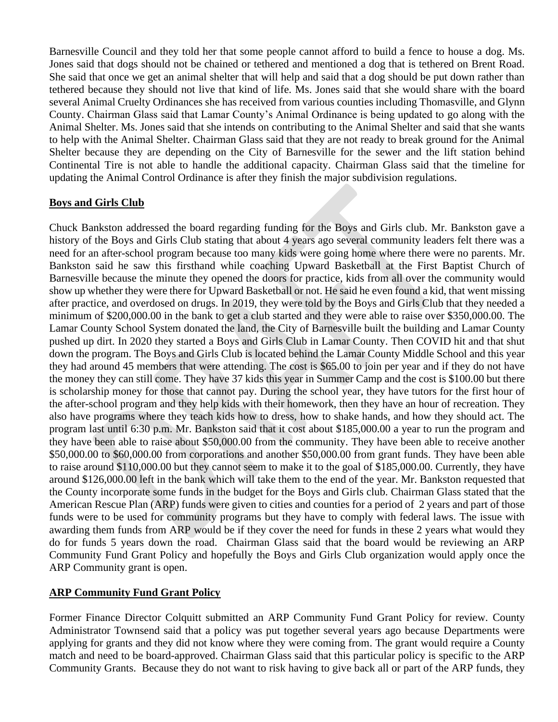Barnesville Council and they told her that some people cannot afford to build a fence to house a dog. Ms. Jones said that dogs should not be chained or tethered and mentioned a dog that is tethered on Brent Road. She said that once we get an animal shelter that will help and said that a dog should be put down rather than tethered because they should not live that kind of life. Ms. Jones said that she would share with the board several Animal Cruelty Ordinances she has received from various counties including Thomasville, and Glynn County. Chairman Glass said that Lamar County's Animal Ordinance is being updated to go along with the Animal Shelter. Ms. Jones said that she intends on contributing to the Animal Shelter and said that she wants to help with the Animal Shelter. Chairman Glass said that they are not ready to break ground for the Animal Shelter because they are depending on the City of Barnesville for the sewer and the lift station behind Continental Tire is not able to handle the additional capacity. Chairman Glass said that the timeline for updating the Animal Control Ordinance is after they finish the major subdivision regulations.

### **Boys and Girls Club**

Chuck Bankston addressed the board regarding funding for the Boys and Girls club. Mr. Bankston gave a history of the Boys and Girls Club stating that about 4 years ago several community leaders felt there was a need for an after-school program because too many kids were going home where there were no parents. Mr. Bankston said he saw this firsthand while coaching Upward Basketball at the First Baptist Church of Barnesville because the minute they opened the doors for practice, kids from all over the community would show up whether they were there for Upward Basketball or not. He said he even found a kid, that went missing after practice, and overdosed on drugs. In 2019, they were told by the Boys and Girls Club that they needed a minimum of \$200,000.00 in the bank to get a club started and they were able to raise over \$350,000.00. The Lamar County School System donated the land, the City of Barnesville built the building and Lamar County pushed up dirt. In 2020 they started a Boys and Girls Club in Lamar County. Then COVID hit and that shut down the program. The Boys and Girls Club is located behind the Lamar County Middle School and this year they had around 45 members that were attending. The cost is \$65.00 to join per year and if they do not have the money they can still come. They have 37 kids this year in Summer Camp and the cost is \$100.00 but there is scholarship money for those that cannot pay. During the school year, they have tutors for the first hour of the after-school program and they help kids with their homework, then they have an hour of recreation. They also have programs where they teach kids how to dress, how to shake hands, and how they should act. The program last until 6:30 p.m. Mr. Bankston said that it cost about \$185,000.00 a year to run the program and they have been able to raise about \$50,000.00 from the community. They have been able to receive another \$50,000.00 to \$60,000.00 from corporations and another \$50,000.00 from grant funds. They have been able to raise around \$110,000.00 but they cannot seem to make it to the goal of \$185,000.00. Currently, they have around \$126,000.00 left in the bank which will take them to the end of the year. Mr. Bankston requested that the County incorporate some funds in the budget for the Boys and Girls club. Chairman Glass stated that the American Rescue Plan (ARP) funds were given to cities and counties for a period of 2 years and part of those funds were to be used for community programs but they have to comply with federal laws. The issue with awarding them funds from ARP would be if they cover the need for funds in these 2 years what would they do for funds 5 years down the road. Chairman Glass said that the board would be reviewing an ARP Community Fund Grant Policy and hopefully the Boys and Girls Club organization would apply once the ARP Community grant is open.

## **ARP Community Fund Grant Policy**

Former Finance Director Colquitt submitted an ARP Community Fund Grant Policy for review. County Administrator Townsend said that a policy was put together several years ago because Departments were applying for grants and they did not know where they were coming from. The grant would require a County match and need to be board-approved. Chairman Glass said that this particular policy is specific to the ARP Community Grants. Because they do not want to risk having to give back all or part of the ARP funds, they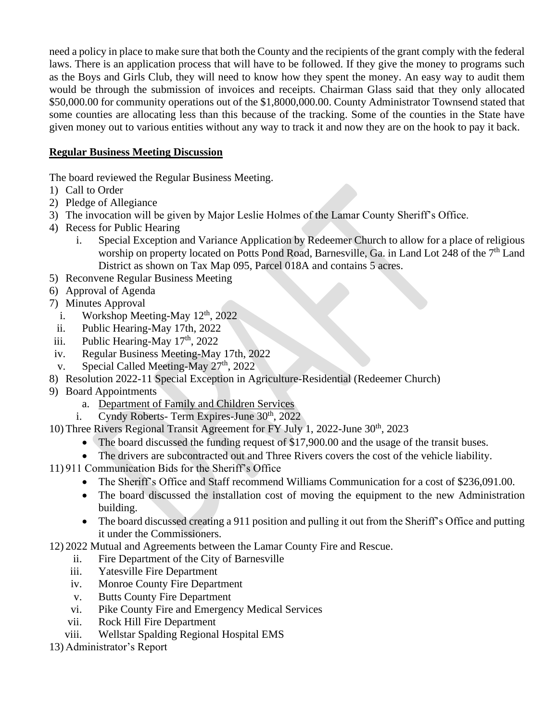need a policy in place to make sure that both the County and the recipients of the grant comply with the federal laws. There is an application process that will have to be followed. If they give the money to programs such as the Boys and Girls Club, they will need to know how they spent the money. An easy way to audit them would be through the submission of invoices and receipts. Chairman Glass said that they only allocated \$50,000.00 for community operations out of the \$1,8000,000.00. County Administrator Townsend stated that some counties are allocating less than this because of the tracking. Some of the counties in the State have given money out to various entities without any way to track it and now they are on the hook to pay it back.

# **Regular Business Meeting Discussion**

The board reviewed the Regular Business Meeting.

- 1) Call to Order
- 2) Pledge of Allegiance
- 3) The invocation will be given by Major Leslie Holmes of the Lamar County Sheriff's Office.
- 4) Recess for Public Hearing
	- i. Special Exception and Variance Application by Redeemer Church to allow for a place of religious worship on property located on Potts Pond Road, Barnesville, Ga. in Land Lot 248 of the  $7<sup>th</sup>$  Land District as shown on Tax Map 095, Parcel 018A and contains 5 acres.
- 5) Reconvene Regular Business Meeting
- 6) Approval of Agenda
- 7) Minutes Approval
	- i. Workshop Meeting-May  $12<sup>th</sup>$ , 2022
- ii. Public Hearing-May 17th, 2022
- iii. Public Hearing-May  $17<sup>th</sup>$ , 2022
- iv. Regular Business Meeting-May 17th, 2022
- v. Special Called Meeting-May  $27<sup>th</sup>$ , 2022
- 8) Resolution 2022-11 Special Exception in Agriculture-Residential (Redeemer Church)
- 9) Board Appointments
	- a. Department of Family and Children Services
	- i. Cyndy Roberts- Term Expires-June  $30<sup>th</sup>$ , 2022
- 10) Three Rivers Regional Transit Agreement for FY July 1, 2022-June 30th, 2023
	- The board discussed the funding request of \$17,900.00 and the usage of the transit buses.
	- The drivers are subcontracted out and Three Rivers covers the cost of the vehicle liability.
- 11) 911 Communication Bids for the Sheriff's Office
	- The Sheriff's Office and Staff recommend Williams Communication for a cost of \$236,091.00.
	- The board discussed the installation cost of moving the equipment to the new Administration building.
	- The board discussed creating a 911 position and pulling it out from the Sheriff's Office and putting it under the Commissioners.
- 12) 2022 Mutual and Agreements between the Lamar County Fire and Rescue.
	- ii. Fire Department of the City of Barnesville
	- iii. Yatesville Fire Department
	- iv. Monroe County Fire Department
	- v. Butts County Fire Department
	- vi. Pike County Fire and Emergency Medical Services
	- vii. Rock Hill Fire Department
	- viii. Wellstar Spalding Regional Hospital EMS
- 13) Administrator's Report